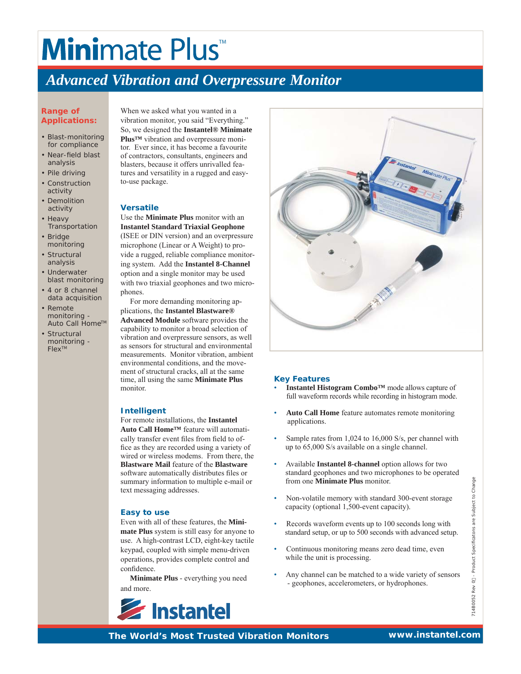## **Minimate Plus**

### *Advanced Vibration and Overpressure Monitor*

#### **Range of Applications:**

- Blast-monitoring for compliance
- Near-field blast analysis
- Pile driving
- Construction activity
- Demolition activity
- Heavy **Transportation**
- Bridge monitoring
- Structural analysis
- Underwater blast monitoring
- 4 or 8 channel data acquisition
- Remote monitoring - Auto Call Home™
- Structural monitoring - FlexTM

When we asked what you wanted in a vibration monitor, you said "Everything." So, we designed the **Instantel® Minimate Plus™** vibration and overpressure monitor. Ever since, it has become a favourite of contractors, consultants, engineers and blasters, because it offers unrivalled features and versatility in a rugged and easyto-use package.

#### **Versatile**

Use the **Minimate Plus** monitor with an **Instantel Standard Triaxial Geophone** (ISEE or DIN version) and an overpressure microphone (Linear or A Weight) to provide a rugged, reliable compliance monitoring system. Add the **Instantel 8-Channel** option and a single monitor may be used with two triaxial geophones and two microphones.

 For more demanding monitoring applications, the **Instantel Blastware® Advanced Module** software provides the capability to monitor a broad selection of vibration and overpressure sensors, as well as sensors for structural and environmental measurements. Monitor vibration, ambient environmental conditions, and the movement of structural cracks, all at the same time, all using the same **Minimate Plus** monitor.

#### **Intelligent**

For remote installations, the **Instantel Auto Call Home™** feature will automatically transfer event files from field to office as they are recorded using a variety of wired or wireless modems. From there, the **Blastware Mail** feature of the **Blastware** software automatically distributes files or summary information to multiple e-mail or text messaging addresses.

#### **Easy to use**

Even with all of these features, the **Minimate Plus** system is still easy for anyone to use. A high-contrast LCD, eight-key tactile keypad, coupled with simple menu-driven operations, provides complete control and confidence.

 **Minimate Plus** - everything you need and more.





#### **Key Features**

- **Instantel Histogram Combo™** mode allows capture of full waveform records while recording in histogram mode.
- **Auto Call Home** feature automates remote monitoring applications.
- Sample rates from 1,024 to 16,000 S/s, per channel with up to 65,000 S/s available on a single channel.
- Available **Instantel 8-channel** option allows for two standard geophones and two microphones to be operated from one **Minimate Plus** monitor.
- Non-volatile memory with standard 300-event storage capacity (optional 1,500-event capacity).
- Records waveform events up to 100 seconds long with standard setup, or up to 500 seconds with advanced setup.
- Continuous monitoring means zero dead time, even while the unit is processing.
- Any channel can be matched to a wide variety of sensors - geophones, accelerometers, or hydrophones.

*The World's Most Trusted Vibration Monitors* **www.instantel.com**